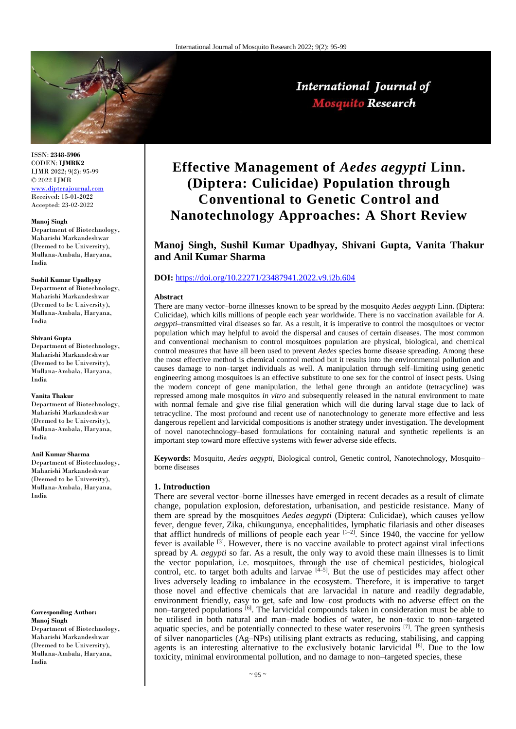

ISSN: **2348-5906** CODEN: **IJMRK2** IJMR 2022; 9(2): 95-99 © 2022 IJMR [www.dipterajournal.com](file://server/d/Mosquito/Issue/8%20Volume/www.dipterajournal.com)

Received: 15-01-2022 Accepted: 23-02-2022

#### **Manoj Singh**

Department of Biotechnology, Maharishi Markandeshwar (Deemed to be University), Mullana-Ambala, Haryana, India

### **Sushil Kumar Upadhyay**

Department of Biotechnology, Maharishi Markandeshwar (Deemed to be University), Mullana-Ambala, Haryana, India

### **Shivani Gupta**

Department of Biotechnology, Maharishi Markandeshwar (Deemed to be University), Mullana-Ambala, Haryana, India

### **Vanita Thakur**

Department of Biotechnology, Maharishi Markandeshwar (Deemed to be University), Mullana-Ambala, Haryana, India

### **Anil Kumar Sharma**

Department of Biotechnology, Maharishi Markandeshwar (Deemed to be University), Mullana-Ambala, Haryana, India

### **Corresponding Author: Manoj Singh**

Department of Biotechnology, Maharishi Markandeshwar (Deemed to be University), Mullana-Ambala, Haryana, India

# **Effective Management of** *Aedes aegypti* **Linn. (Diptera: Culicidae) Population through Conventional to Genetic Control and Nanotechnology Approaches: A Short Review**

# **Manoj Singh, Sushil Kumar Upadhyay, Shivani Gupta, Vanita Thakur and Anil Kumar Sharma**

# **DOI:** <https://doi.org/10.22271/23487941.2022.v9.i2b.604>

#### **Abstract**

There are many vector–borne illnesses known to be spread by the mosquito *Aedes aegypti* Linn. (Diptera: Culicidae), which kills millions of people each year worldwide. There is no vaccination available for *A. aegypti*–transmitted viral diseases so far. As a result, it is imperative to control the mosquitoes or vector population which may helpful to avoid the dispersal and causes of certain diseases. The most common and conventional mechanism to control mosquitoes population are physical, biological, and chemical control measures that have all been used to prevent *Aedes* species borne disease spreading. Among these the most effective method is chemical control method but it results into the environmental pollution and causes damage to non–target individuals as well. A manipulation through self–limiting using genetic engineering among mosquitoes is an effective substitute to one sex for the control of insect pests. Using the modern concept of gene manipulation, the lethal gene through an antidote (tetracycline) was repressed among male mosquitos *in vitro* and subsequently released in the natural environment to mate with normal female and give rise filial generation which will die during larval stage due to lack of tetracycline. The most profound and recent use of nanotechnology to generate more effective and less dangerous repellent and larvicidal compositions is another strategy under investigation. The development of novel nanotechnology–based formulations for containing natural and synthetic repellents is an important step toward more effective systems with fewer adverse side effects.

**Keywords:** Mosquito, *Aedes aegypti,* Biological control, Genetic control, Nanotechnology, Mosquito– borne diseases

### **1. Introduction**

There are several vector–borne illnesses have emerged in recent decades as a result of climate change, population explosion, deforestation, urbanisation, and pesticide resistance. Many of them are spread by the mosquitoes *Aedes aegypti* (Diptera: Culicidae), which causes yellow fever, dengue fever, Zika, chikungunya, encephalitides, lymphatic filariasis and other diseases that afflict hundreds of millions of people each year  $[1-2]$ . Since 1940, the vaccine for yellow fever is available <sup>[3]</sup>. However, there is no vaccine available to protect against viral infections spread by *A. aegypti* so far. As a result, the only way to avoid these main illnesses is to limit the vector population, i.e. mosquitoes, through the use of chemical pesticides, biological control, etc. to target both adults and larvae  $[4-5]$ . But the use of pesticides may affect other lives adversely leading to imbalance in the ecosystem. Therefore, it is imperative to target those novel and effective chemicals that are larvacidal in nature and readily degradable, environment friendly, easy to get, safe and low–cost products with no adverse effect on the non–targeted populations  $\left[\right.^{6}$ . The larvicidal compounds taken in consideration must be able to be utilised in both natural and man–made bodies of water, be non–toxic to non–targeted aquatic species, and be potentially connected to these water reservoirs [7]. The green synthesis of silver nanoparticles (Ag–NPs) utilising plant extracts as reducing, stabilising, and capping agents is an interesting alternative to the exclusively botanic larvicidal [8]. Due to the low toxicity, minimal environmental pollution, and no damage to non–targeted species, these

# International Journal of **Mosquito Research**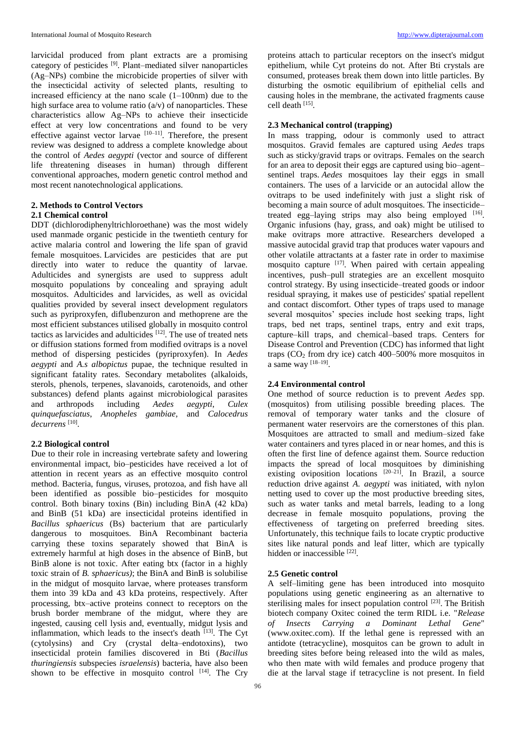larvicidal produced from plant extracts are a promising category of pesticides [9]. Plant–mediated silver nanoparticles (Ag–NPs) combine the microbicide properties of silver with the insecticidal activity of selected plants, resulting to increased efficiency at the nano scale (1–100nm) due to the high surface area to volume ratio  $(a/v)$  of nanoparticles. These characteristics allow Ag–NPs to achieve their insecticide effect at very low concentrations and found to be very effective against vector larvae  $[10-11]$ . Therefore, the present review was designed to address a complete knowledge about the control of *Aedes aegypti* (vector and source of different life threatening diseases in human) through different conventional approaches, modern genetic control method and most recent nanotechnological applications.

# **2. Methods to Control Vectors**

# **2.1 Chemical control**

DDT (dichlorodiphenyltrichloroethane) was the most widely used manmade organic pesticide in the twentieth century for active malaria control and lowering the life span of gravid female mosquitoes. Larvicides are pesticides that are put directly into water to reduce the quantity of larvae. Adulticides and synergists are used to suppress adult mosquito populations by concealing and spraying adult mosquitos. Adulticides and larvicides, as well as ovicidal qualities provided by several insect development regulators such as pyriproxyfen, diflubenzuron and methoprene are the most efficient substances utilised globally in mosquito control tactics as larvicides and adulticides  $[12]$ . The use of treated nets or diffusion stations formed from modified ovitraps is a novel method of dispersing pesticides (pyriproxyfen). In *Aedes aegypti* and *A.s albopictus* pupae, the technique resulted in significant fatality rates. Secondary metabolites (alkaloids, sterols, phenols, terpenes, slavanoids, carotenoids, and other substances) defend plants against microbiological parasites and arthropods including *Aedes aegypti*, *Culex quinquefasciatus*, *Anopheles gambiae*, and *Calocedrus decurrens* [10] .

# **2.2 Biological control**

Due to their role in increasing vertebrate safety and lowering environmental impact, bio–pesticides have received a lot of attention in recent years as an effective mosquito control method. Bacteria, fungus, viruses, protozoa, and fish have all been identified as possible bio–pesticides for mosquito control. Both binary toxins (Bin) including BinA (42 kDa) and BinB (51 kDa) are insecticidal proteins identified in *Bacillus sphaericus* (Bs) bacterium that are particularly dangerous to mosquitoes. BinA Recombinant bacteria carrying these toxins separately showed that BinA is extremely harmful at high doses in the absence of BinB, but BinB alone is not toxic. After eating btx (factor in a highly toxic strain of *B. sphaericus)*; the BinA and BinB is solubilise in the midgut of mosquito larvae, where proteases transform them into 39 kDa and 43 kDa proteins, respectively. After processing, btx–active proteins connect to receptors on the brush border membrane of the midgut, where they are ingested, causing cell lysis and, eventually, midgut lysis and inflammation, which leads to the insect's death [13]. The Cyt (cytolysins) and Cry (crystal delta–endotoxins), two insecticidal protein families discovered in Bti (*Bacillus thuringiensis* subspecies *israelensis*) bacteria, have also been shown to be effective in mosquito control  $[14]$ . The Cry

proteins attach to particular receptors on the insect's midgut epithelium, while Cyt proteins do not. After Bti crystals are consumed, proteases break them down into little particles. By disturbing the osmotic equilibrium of epithelial cells and causing holes in the membrane, the activated fragments cause cell death [15] .

# **2.3 Mechanical control (trapping)**

In mass trapping, odour is commonly used to attract mosquitos. Gravid females are captured using *Aedes* traps such as sticky/gravid traps or ovitraps. Females on the search for an area to deposit their eggs are captured using bio–agent– sentinel traps. *Aedes* mosquitoes lay their eggs in small containers. The uses of a larvicide or an autocidal allow the ovitraps to be used indefinitely with just a slight risk of becoming a main source of adult mosquitoes. The insecticide– treated egg-laying strips may also being employed  $[16]$ . Organic infusions (hay, grass, and oak) might be utilised to make ovitraps more attractive. Researchers developed a massive autocidal gravid trap that produces water vapours and other volatile attractants at a faster rate in order to maximise mosquito capture <sup>[17]</sup>. When paired with certain appealing incentives, push–pull strategies are an excellent mosquito control strategy. By using insecticide–treated goods or indoor residual spraying, it makes use of pesticides' spatial repellent and contact discomfort. Other types of traps used to manage several mosquitos' species include host seeking traps, light traps, bed net traps, sentinel traps, entry and exit traps, capture–kill traps, and chemical–based traps. Centers for Disease Control and Prevention (CDC) has informed that light traps  $(CO<sub>2</sub>$  from dry ice) catch 400–500% more mosquitos in a same way  $[18-19]$ .

# **2.4 Environmental control**

One method of source reduction is to prevent *Aedes* spp. (mosquitos) from utilising possible breeding places. The removal of temporary water tanks and the closure of permanent water reservoirs are the cornerstones of this plan. Mosquitoes are attracted to small and medium–sized fake water containers and tyres placed in or near homes, and this is often the first line of defence against them. Source reduction impacts the spread of local mosquitoes by diminishing existing oviposition locations  $[20-21]$ . In Brazil, a source reduction drive against *A. aegypti* was initiated, with nylon netting used to cover up the most productive breeding sites, such as water tanks and metal barrels, leading to a long decrease in female mosquito populations, proving the effectiveness of targeting on preferred breeding sites. Unfortunately, this technique fails to locate cryptic productive sites like natural ponds and leaf litter, which are typically hidden or inaccessible [22].

# **2.5 Genetic control**

A self–limiting gene has been introduced into mosquito populations using genetic engineering as an alternative to sterilising males for insect population control [23]. The British biotech company Oxitec coined the term RIDL i.e. "*Release of Insects Carrying a Dominant Lethal Gene*" (www.oxitec.com). If the lethal gene is repressed with an antidote (tetracycline), mosquitos can be grown to adult in breeding sites before being released into the wild as males, who then mate with wild females and produce progeny that die at the larval stage if tetracycline is not present. In field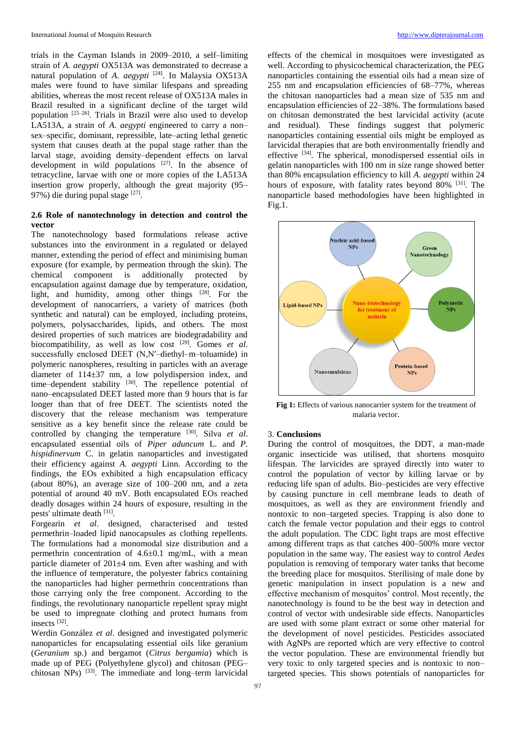trials in the Cayman Islands in 2009–2010, a self–limiting strain of *A. aegypti* OX513A was demonstrated to decrease a natural population of *A. aegypti* [24]. In Malaysia OX513A males were found to have similar lifespans and spreading abilities, whereas the most recent release of OX513A males in Brazil resulted in a significant decline of the target wild population [25–26]. Trials in Brazil were also used to develop LA513A, a strain of *A. aegypti* engineered to carry a non– sex–specific, dominant, repressible, late–acting lethal genetic system that causes death at the pupal stage rather than the larval stage, avoiding density–dependent effects on larval development in wild populations [27]. In the absence of tetracycline, larvae with one or more copies of the LA513A insertion grow properly, although the great majority (95– 97%) die during pupal stage [27].

# **2.6 Role of nanotechnology in detection and control the vector**

The nanotechnology based formulations release active substances into the environment in a regulated or delayed manner, extending the period of effect and minimising human exposure (for example, by permeation through the skin). The chemical component is additionally protected by encapsulation against damage due by temperature, oxidation, light, and humidity, among other things [28]. For the development of nanocarriers, a variety of matrices (both synthetic and natural) can be employed, including proteins, polymers, polysaccharides, lipids, and others. The most desired properties of such matrices are biodegradability and biocompatibility, as well as low cost [29]. Gomes *et al*. successfully enclosed DEET (N,N'-diethyl-m-toluamide) in polymeric nanospheres, resulting in particles with an average diameter of 114±37 nm, a low polydispersion index, and time–dependent stability [30]. The repellence potential of nano–encapsulated DEET lasted more than 9 hours that is far longer than that of free DEET. The scientists noted the discovery that the release mechanism was temperature sensitive as a key benefit since the release rate could be controlled by changing the temperature [30]. Silva *et al*. encapsulated essential oils of *Piper aduncum* L. and *P. hispidinervum* C. in gelatin nanoparticles and investigated their efficiency against *A. aegypti* Linn. According to the findings, the EOs exhibited a high encapsulation efficacy (about 80%), an average size of 100–200 nm, and a zeta potential of around 40 mV. Both encapsulated EOs reached deadly dosages within 24 hours of exposure, resulting in the pests' ultimate death [31].

Forgearin *et al*. designed, characterised and tested permethrin–loaded lipid nanocapsules as clothing repellents. The formulations had a monomodal size distribution and a permethrin concentration of 4.6±0.1 mg/mL, with a mean particle diameter of 201±4 nm. Even after washing and with the influence of temperature, the polyester fabrics containing the nanoparticles had higher permethrin concentrations than those carrying only the free component. According to the findings, the revolutionary nanoparticle repellent spray might be used to impregnate clothing and protect humans from insects [32] .

Werdin González *et al*. designed and investigated polymeric nanoparticles for encapsulating essential oils like geranium (*Geranium* sp.) and bergamot (*Citrus bergamia*) which is made up of PEG (Polyethylene glycol) and chitosan (PEG– chitosan NPs)  $^{[33]}$ . The immediate and long–term larvicidal effects of the chemical in mosquitoes were investigated as well. According to physicochemical characterization, the PEG nanoparticles containing the essential oils had a mean size of 255 nm and encapsulation efficiencies of 68–77%, whereas the chitosan nanoparticles had a mean size of 535 nm and encapsulation efficiencies of 22–38%. The formulations based on chitosan demonstrated the best larvicidal activity (acute and residual). These findings suggest that polymeric nanoparticles containing essential oils might be employed as larvicidal therapies that are both environmentally friendly and effective [34]. The spherical, monodispersed essential oils in gelatin nanoparticles with 100 nm in size range showed better than 80% encapsulation efficiency to kill *A. aegypti* within 24 hours of exposure, with fatality rates beyond 80% <sup>[31]</sup>. The nanoparticle based methodologies have been highlighted in Fig.1.



**Fig 1:** Effects of various nanocarrier system for the treatment of malaria vector.

## 3. **Conclusions**

During the control of mosquitoes, the DDT, a man-made organic insecticide was utilised, that shortens mosquito lifespan. The larvicides are sprayed directly into water to control the population of vector by killing larvae or by reducing life span of adults. Bio–pesticides are very effective by causing puncture in cell membrane leads to death of mosquitoes, as well as they are environment friendly and nontoxic to non–targeted species. Trapping is also done to catch the female vector population and their eggs to control the adult population. The CDC light traps are most effective among different traps as that catches 400–500% more vector population in the same way. The easiest way to control *Aedes* population is removing of temporary water tanks that become the breeding place for mosquitos. Sterilising of male done by genetic manipulation in insect population is a new and effective mechanism of mosquitos' control. Most recently, the nanotechnology is found to be the best way in detection and control of vector with undesirable side effects. Nanoparticles are used with some plant extract or some other material for the development of novel pesticides. Pesticides associated with AgNPs are reported which are very effective to control the vector population. These are environmental friendly but very toxic to only targeted species and is nontoxic to non– targeted species. This shows potentials of nanoparticles for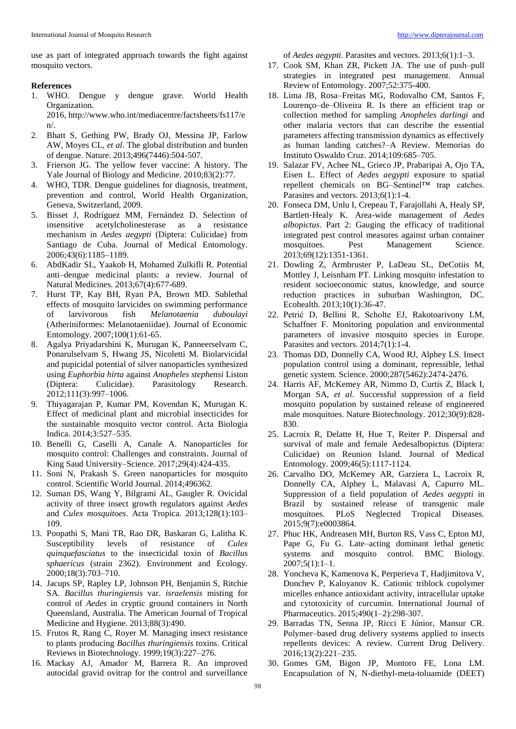use as part of integrated approach towards the fight against mosquito vectors.

### **References**

1. WHO. Dengue y dengue grave. World Health Organization. 2016, http://www.who.int/mediacentre/factsheets/fs117/e

n/.

- 2. Bhatt S, Gething PW, Brady OJ, Messina JP, Farlow AW, Moyes CL, *et al*. The global distribution and burden of dengue. Nature. 2013;496(7446):504-507.
- 3. Frierson JG. The yellow fever vaccine: A history. The Yale Journal of Biology and Medicine. 2010;83(2):77.
- 4. WHO, TDR. Dengue guidelines for diagnosis, treatment, prevention and control, World Health Organization, Geneva, Switzerland, 2009.
- 5. Bisset J, Rodríguez MM, Fernández D. Selection of insensitive acetylcholinesterase as a resistance mechanism in *Aedes aegypti* (Diptera: Culicidae) from Santiago de Cuba. Journal of Medical Entomology. 2006;43(6):1185–1189.
- 6. AbdKadir SL, Yaakob H, Mohamed Zulkifli R. Potential anti–dengue medicinal plants: a review. Journal of Natural Medicines. 2013;67(4):677-689.
- 7. Hurst TP, Kay BH, Ryan PA, Brown MD. Sublethal effects of mosquito larvicides on swimming performance of larvivorous fish *Melanotaenia duboulayi* (Atheriniformes: Melanotaeniidae). Journal of Economic Entomology. 2007;100(1):61-65.
- 8. Agalya Priyadarshini K, Murugan K, Panneerselvam C, Ponarulselvam S, Hwang JS, Nicoletti M. Biolarvicidal and pupicidal potential of silver nanoparticles synthesized using *Euphorbia hirta* against *Anopheles stephensi* Liston (Diptera: Culicidae). Parasitology Research. 2012;111(3):997–1006.
- 9. Thiyagarajan P, Kumar PM, Kovendan K, Murugan K. Effect of medicinal plant and microbial insecticides for the sustainable mosquito vector control. Acta Biologia Indica. 2014;3:527–535.
- 10. Benelli G, Caselli A, Canale A. Nanoparticles for mosquito control: Challenges and constraints. Journal of King Saud University–Science. 2017;29(4):424-435.
- 11. Soni N, Prakash S. Green nanoparticles for mosquito control. Scientific World Journal. 2014;496362.
- 12. Suman DS, Wang Y, Bilgrami AL, Gaugler R. Ovicidal activity of three insect growth regulators against *Aedes* and *Culex mosquitoes*. Acta Tropica. 2013;128(1):103– 109.
- 13. Poopathi S, Mani TR, Rao DR, Baskaran G, Lalitha K. Susceptibility levels of resistance of *Culex quinquefasciatus* to the insecticidal toxin of *Bacillus sphaericus* (strain 2362). Environment and Ecology. 2000;18(3):703–710.
- 14. Jacups SP, Rapley LP, Johnson PH, Benjamin S, Ritchie SA. *Bacillus thuringiensis* var. *israelensis* misting for control of *Aedes* in cryptic ground containers in North Queensland, Australia. The American Journal of Tropical Medicine and Hygiene. 2013;88(3):490.
- 15. Frutos R, Rang C, Royer M. Managing insect resistance to plants producing *Bacillus thuringiensis* toxins. Critical Reviews in Biotechnology. 1999;19(3):227–276.
- 16. Mackay AJ, Amador M, Barrera R. An improved autocidal gravid ovitrap for the control and surveillance

of *Aedes aegypti*. Parasites and vectors. 2013;6(1):1–3.

- 17. Cook SM, Khan ZR, Pickett JA. The use of push–pull strategies in integrated pest management. Annual Review of Entomology. 2007;52:375-400.
- 18. Lima JB, Rosa–Freitas MG, Rodovalho CM, Santos F, Lourenço–de–Oliveira R. Is there an efficient trap or collection method for sampling *Anopheles darlingi* and other malaria vectors that can describe the essential parameters affecting transmission dynamics as effectively as human landing catches?–A Review. Memorias do Instituto Oswaldo Cruz. 2014;109:685–705.
- 19. Salazar FV, Achee NL, Grieco JP, Prabaripai A, Ojo TA, Eisen L. Effect of *Aedes aegypti* exposure to spatial repellent chemicals on BG–Sentinel™ trap catches. Parasites and vectors. 2013;6(1):1-4.
- 20. Fonseca DM, Unlu I, Crepeau T, Farajollahi A, Healy SP, Bartlett‐Healy K. Area-wide management of *Aedes albopictus*. Part 2: Gauging the efficacy of traditional integrated pest control measures against urban container mosquitoes. Pest Management Science. 2013;69(12):1351-1361.
- 21. Dowling Z, Armbruster P, LaDeau SL, DeCotiis M, Mottley J, Leisnham PT. Linking mosquito infestation to resident socioeconomic status, knowledge, and source reduction practices in suburban Washington, DC. Ecohealth. 2013;10(1):36-47.
- 22. Petrić D, Bellini R, Scholte EJ, Rakotoarivony LM, Schaffner F. Monitoring population and environmental parameters of invasive mosquito species in Europe. Parasites and vectors. 2014;7(1):1-4.
- 23. Thomas DD, Donnelly CA, Wood RJ, Alphey LS. Insect population control using a dominant, repressible, lethal genetic system. Science. 2000;287(5462):2474-2476.
- 24. Harris AF, McKemey AR, Nimmo D, Curtis Z, Black I, Morgan SA, *et al*. Successful suppression of a field mosquito population by sustained release of engineered male mosquitoes. Nature Biotechnology. 2012;30(9):828- 830.
- 25. Lacroix R, Delatte H, Hue T, Reiter P. Dispersal and survival of male and female Aedesalbopictus (Diptera: Culicidae) on Reunion Island. Journal of Medical Entomology. 2009;46(5):1117-1124.
- 26. Carvalho DO, McKemey AR, Garziera L, Lacroix R, Donnelly CA, Alphey L, Malavasi A, Capurro ML. Suppression of a field population of *Aedes aegypti* in Brazil by sustained release of transgenic male mosquitoes. PLoS Neglected Tropical Diseases. 2015;9(7):e0003864.
- 27. Phuc HK, Andreasen MH, Burton RS, Vass C, Epton MJ, Pape G, Fu G. Late–acting dominant lethal genetic systems and mosquito control. BMC Biology.  $2007;5(1):1-1.$
- 28. Yoncheva K, Kamenova K, Perperieva T, Hadjimitova V, Donchev P, Kaloyanov K. Cationic triblock copolymer micelles enhance antioxidant activity, intracellular uptake and cytotoxicity of curcumin. International Journal of Pharmaceutics. 2015;490(1–2):298-307.
- 29. Barradas TN, Senna JP, Ricci E Júnior, Mansur CR. Polymer–based drug delivery systems applied to insects repellents devices: A review. Current Drug Delivery. 2016;13(2):221–235.
- 30. Gomes GM, Bigon JP, Montoro FE, Lona LM. Encapsulation of N, N-diethyl-meta-toluamide (DEET)